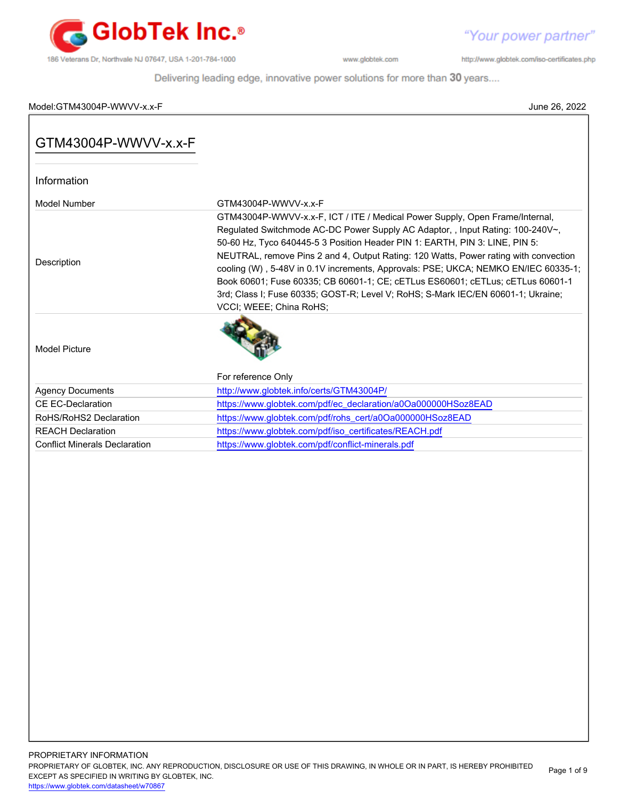

"Your power partner"

http://www.globtek.com/iso-certificates.php

Delivering leading edge, innovative power solutions for more than 30 years....

# Model:GTM43004P-WWVV-x.x-F June 26, 2022

| GTM43004P-WWVV-x.x-F                 |                                                                                                                                                                                                                                                                                                                                                                                                                                                                                                                                                                                                                            |
|--------------------------------------|----------------------------------------------------------------------------------------------------------------------------------------------------------------------------------------------------------------------------------------------------------------------------------------------------------------------------------------------------------------------------------------------------------------------------------------------------------------------------------------------------------------------------------------------------------------------------------------------------------------------------|
| Information                          |                                                                                                                                                                                                                                                                                                                                                                                                                                                                                                                                                                                                                            |
| Model Number                         | GTM43004P-WWVV-x.x-F                                                                                                                                                                                                                                                                                                                                                                                                                                                                                                                                                                                                       |
| Description                          | GTM43004P-WWVV-x.x-F, ICT / ITE / Medical Power Supply, Open Frame/Internal,<br>Regulated Switchmode AC-DC Power Supply AC Adaptor, Input Rating: 100-240V~,<br>50-60 Hz, Tyco 640445-5 3 Position Header PIN 1: EARTH, PIN 3: LINE, PIN 5:<br>NEUTRAL, remove Pins 2 and 4, Output Rating: 120 Watts, Power rating with convection<br>cooling (W), 5-48V in 0.1V increments, Approvals: PSE; UKCA; NEMKO EN/IEC 60335-1;<br>Book 60601; Fuse 60335; CB 60601-1; CE; cETLus ES60601; cETLus; cETLus 60601-1<br>3rd; Class I; Fuse 60335; GOST-R; Level V; RoHS; S-Mark IEC/EN 60601-1; Ukraine;<br>VCCI; WEEE; China RoHS; |
| <b>Model Picture</b>                 | For reference Only                                                                                                                                                                                                                                                                                                                                                                                                                                                                                                                                                                                                         |
| <b>Agency Documents</b>              | http://www.globtek.info/certs/GTM43004P/                                                                                                                                                                                                                                                                                                                                                                                                                                                                                                                                                                                   |
| <b>CE EC-Declaration</b>             | https://www.globtek.com/pdf/ec_declaration/a0Oa000000HSoz8EAD                                                                                                                                                                                                                                                                                                                                                                                                                                                                                                                                                              |
| RoHS/RoHS2 Declaration               | https://www.globtek.com/pdf/rohs_cert/a0Oa000000HSoz8EAD                                                                                                                                                                                                                                                                                                                                                                                                                                                                                                                                                                   |
| <b>REACH Declaration</b>             | https://www.globtek.com/pdf/iso_certificates/REACH.pdf                                                                                                                                                                                                                                                                                                                                                                                                                                                                                                                                                                     |
| <b>Conflict Minerals Declaration</b> | https://www.globtek.com/pdf/conflict-minerals.pdf                                                                                                                                                                                                                                                                                                                                                                                                                                                                                                                                                                          |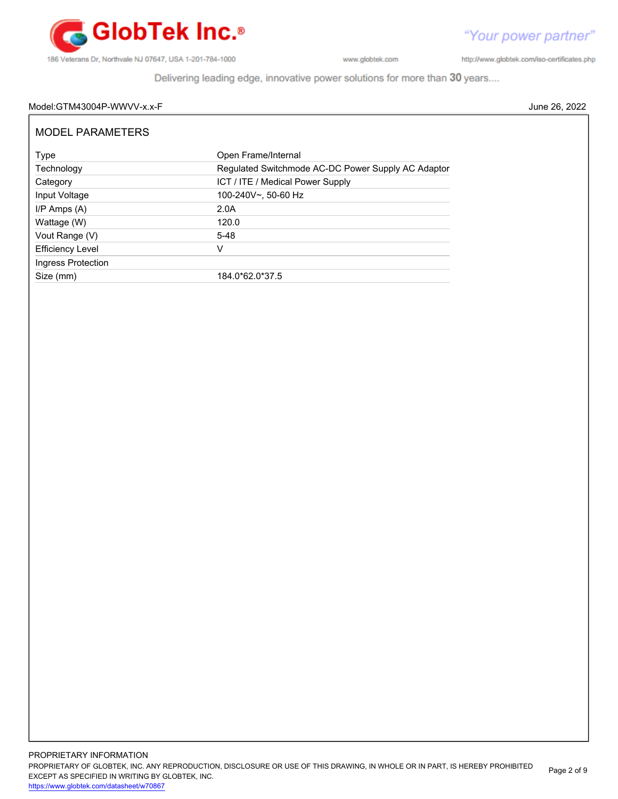

http://www.globtek.com/iso-certificates.php

Delivering leading edge, innovative power solutions for more than 30 years....

# Model:GTM43004P-WWVV-x.x-F June 26, 2022

| <b>MODEL PARAMETERS</b> |                                                    |
|-------------------------|----------------------------------------------------|
| Type                    | Open Frame/Internal                                |
| Technology              | Regulated Switchmode AC-DC Power Supply AC Adaptor |
| Category                | ICT / ITE / Medical Power Supply                   |
| Input Voltage           | 100-240V~, 50-60 Hz                                |
| $I/P$ Amps $(A)$        | 2.0A                                               |
| Wattage (W)             | 120.0                                              |
| Vout Range (V)          | $5 - 48$                                           |
| <b>Efficiency Level</b> | v                                                  |
| Ingress Protection      |                                                    |
| Size (mm)               | 184.0*62.0*37.5                                    |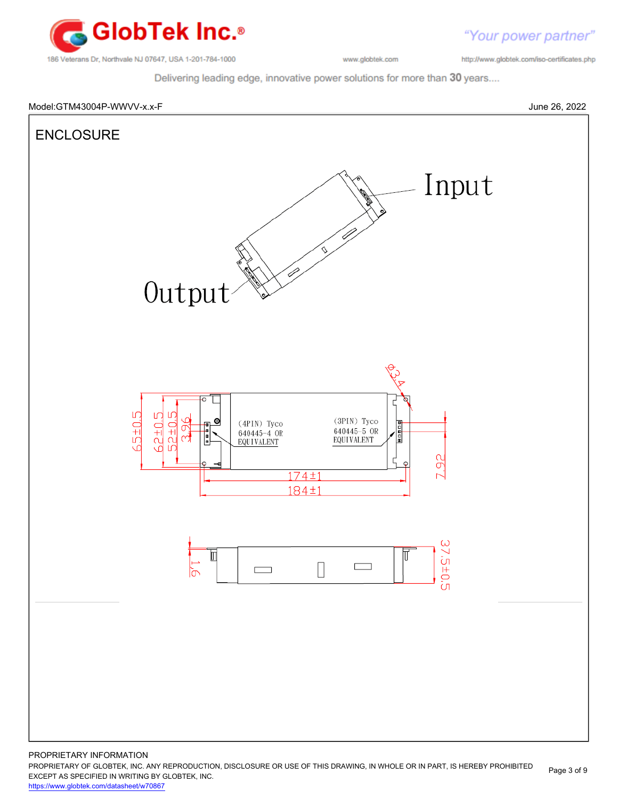

http://www.globtek.com/iso-certificates.php

Delivering leading edge, innovative power solutions for more than 30 years....



PROPRIETARY INFORMATION

PROPRIETARY OF GLOBTEK, INC. ANY REPRODUCTION, DISCLOSURE OR USE OF THIS DRAWING, IN WHOLE OR IN PART, IS HEREBY PROHIBITED EXCEPT AS SPECIFIED IN WRITING BY GLOBTEK, INC. <https://www.globtek.com/datasheet/w70867> Page 3 of 9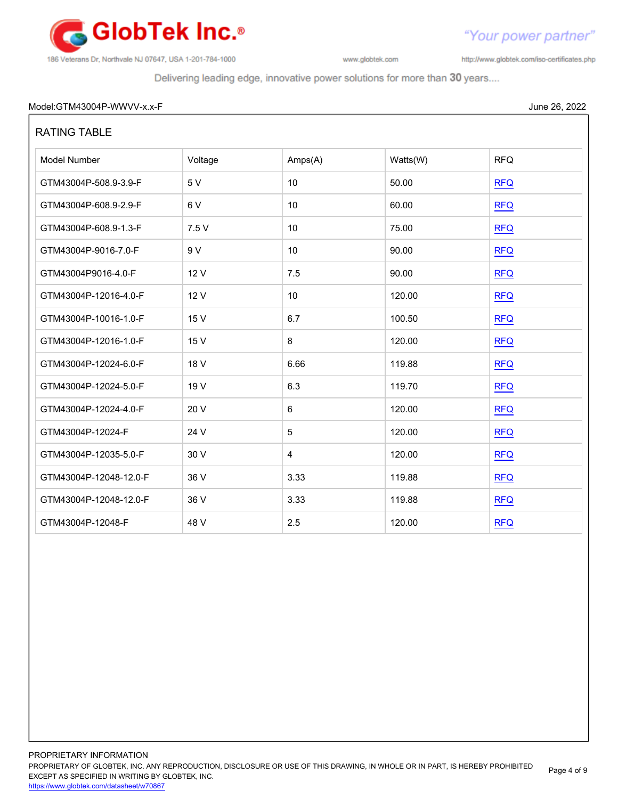

http://www.globtek.com/iso-certificates.php

"Your power partner"

Delivering leading edge, innovative power solutions for more than 30 years....

# Model:GTM43004P-WWVV-x.x-F June 26, 2022

Page 4 of 9

| <b>RATING TABLE</b>    |         |                |          |            |
|------------------------|---------|----------------|----------|------------|
| Model Number           | Voltage | Amps(A)        | Watts(W) | <b>RFQ</b> |
| GTM43004P-508.9-3.9-F  | 5 V     | 10             | 50.00    | <b>RFQ</b> |
| GTM43004P-608.9-2.9-F  | 6 V     | 10             | 60.00    | <b>RFQ</b> |
| GTM43004P-608.9-1.3-F  | 7.5 V   | 10             | 75.00    | <b>RFQ</b> |
| GTM43004P-9016-7.0-F   | 9 V     | 10             | 90.00    | RFA        |
| GTM43004P9016-4.0-F    | 12 V    | 7.5            | 90.00    | <b>RFQ</b> |
| GTM43004P-12016-4.0-F  | 12 V    | 10             | 120.00   | <b>RFQ</b> |
| GTM43004P-10016-1.0-F  | 15 V    | 6.7            | 100.50   | <b>RFQ</b> |
| GTM43004P-12016-1.0-F  | 15 V    | 8              | 120.00   | <b>RFQ</b> |
| GTM43004P-12024-6.0-F  | 18 V    | 6.66           | 119.88   | <b>RFQ</b> |
| GTM43004P-12024-5.0-F  | 19 V    | 6.3            | 119.70   | REQ        |
| GTM43004P-12024-4.0-F  | 20 V    | 6              | 120.00   | <b>RFQ</b> |
| GTM43004P-12024-F      | 24 V    | 5              | 120.00   | <b>RFQ</b> |
| GTM43004P-12035-5.0-F  | 30 V    | $\overline{4}$ | 120.00   | <b>RFQ</b> |
| GTM43004P-12048-12.0-F | 36 V    | 3.33           | 119.88   | <b>RFQ</b> |
| GTM43004P-12048-12.0-F | 36 V    | 3.33           | 119.88   | <b>RFQ</b> |
| GTM43004P-12048-F      | 48 V    | 2.5            | 120.00   | <b>RFQ</b> |

PROPRIETARY INFORMATION PROPRIETARY OF GLOBTEK, INC. ANY REPRODUCTION, DISCLOSURE OR USE OF THIS DRAWING, IN WHOLE OR IN PART, IS HEREBY PROHIBITED EXCEPT AS SPECIFIED IN WRITING BY GLOBTEK, INC.

<https://www.globtek.com/datasheet/w70867>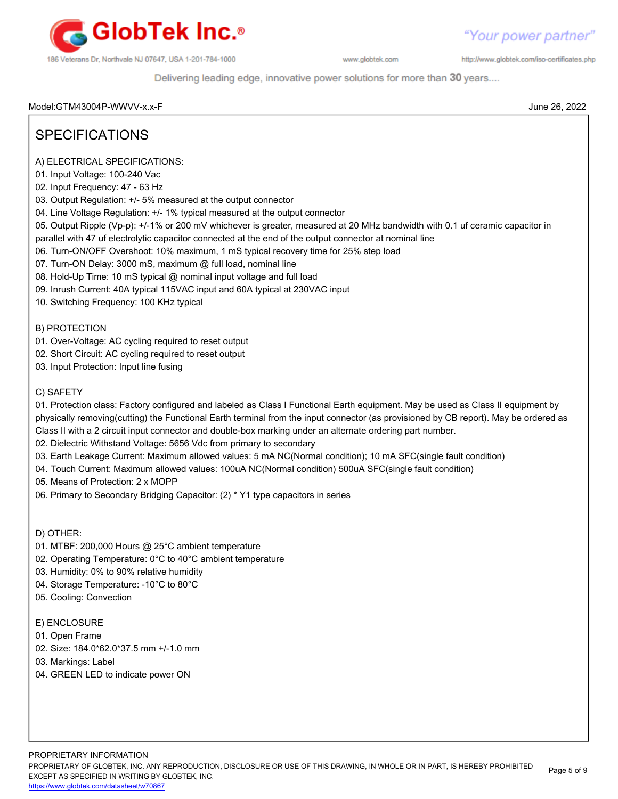

http://www.globtek.com/iso-certificates.php

Delivering leading edge, innovative power solutions for more than 30 years....

Model:GTM43004P-WWVV-x.x-F June 26, 2022

# SPECIFICATIONS

- A) ELECTRICAL SPECIFICATIONS:
- 01. Input Voltage: 100-240 Vac
- 02. Input Frequency: 47 63 Hz
- 03. Output Regulation: +/- 5% measured at the output connector
- 04. Line Voltage Regulation: +/- 1% typical measured at the output connector
- 05. Output Ripple (Vp-p): +/-1% or 200 mV whichever is greater, measured at 20 MHz bandwidth with 0.1 uf ceramic capacitor in
- parallel with 47 uf electrolytic capacitor connected at the end of the output connector at nominal line
- 06. Turn-ON/OFF Overshoot: 10% maximum, 1 mS typical recovery time for 25% step load
- 07. Turn-ON Delay: 3000 mS, maximum @ full load, nominal line
- 08. Hold-Up Time: 10 mS typical @ nominal input voltage and full load
- 09. Inrush Current: 40A typical 115VAC input and 60A typical at 230VAC input
- 10. Switching Frequency: 100 KHz typical

# B) PROTECTION

- 01. Over-Voltage: AC cycling required to reset output
- 02. Short Circuit: AC cycling required to reset output
- 03. Input Protection: Input line fusing

# C) SAFETY

01. Protection class: Factory configured and labeled as Class I Functional Earth equipment. May be used as Class II equipment by physically removing(cutting) the Functional Earth terminal from the input connector (as provisioned by CB report). May be ordered as Class II with a 2 circuit input connector and double-box marking under an alternate ordering part number.

02. Dielectric Withstand Voltage: 5656 Vdc from primary to secondary

- 03. Earth Leakage Current: Maximum allowed values: 5 mA NC(Normal condition); 10 mA SFC(single fault condition)
- 04. Touch Current: Maximum allowed values: 100uA NC(Normal condition) 500uA SFC(single fault condition)

05. Means of Protection: 2 x MOPP

06. Primary to Secondary Bridging Capacitor: (2) \* Y1 type capacitors in series

D) OTHER:

- 01. MTBF: 200,000 Hours @ 25°C ambient temperature
- 02. Operating Temperature: 0°C to 40°C ambient temperature
- 03. Humidity: 0% to 90% relative humidity
- 04. Storage Temperature: -10°C to 80°C
- 05. Cooling: Convection

#### E) ENCLOSURE

- 01. Open Frame
- 02. Size: 184.0\*62.0\*37.5 mm +/-1.0 mm
- 03. Markings: Label
- 04. GREEN LED to indicate power ON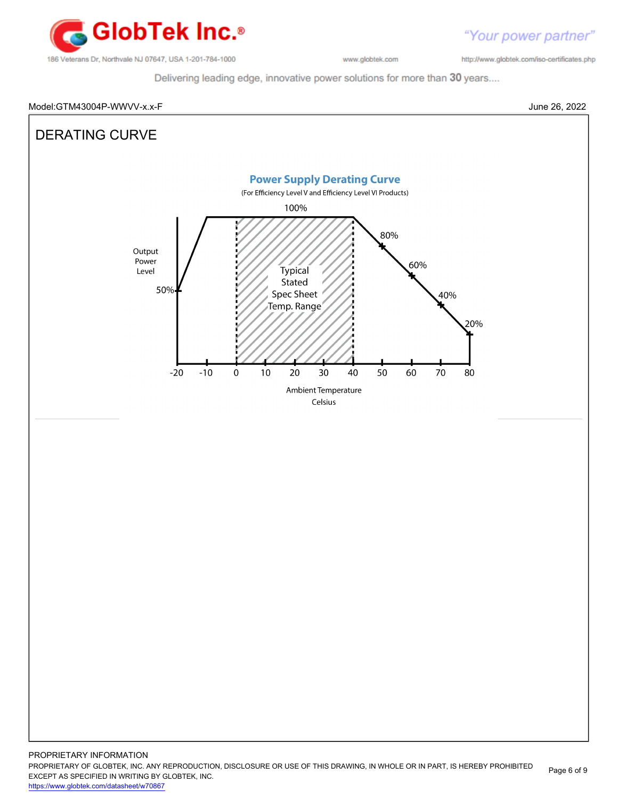

http://www.globtek.com/iso-certificates.php

Delivering leading edge, innovative power solutions for more than 30 years....



PROPRIETARY OF GLOBTEK, INC. ANY REPRODUCTION, DISCLOSURE OR USE OF THIS DRAWING, IN WHOLE OR IN PART, IS HEREBY PROHIBITED EXCEPT AS SPECIFIED IN WRITING BY GLOBTEK, INC. Page 6 of 9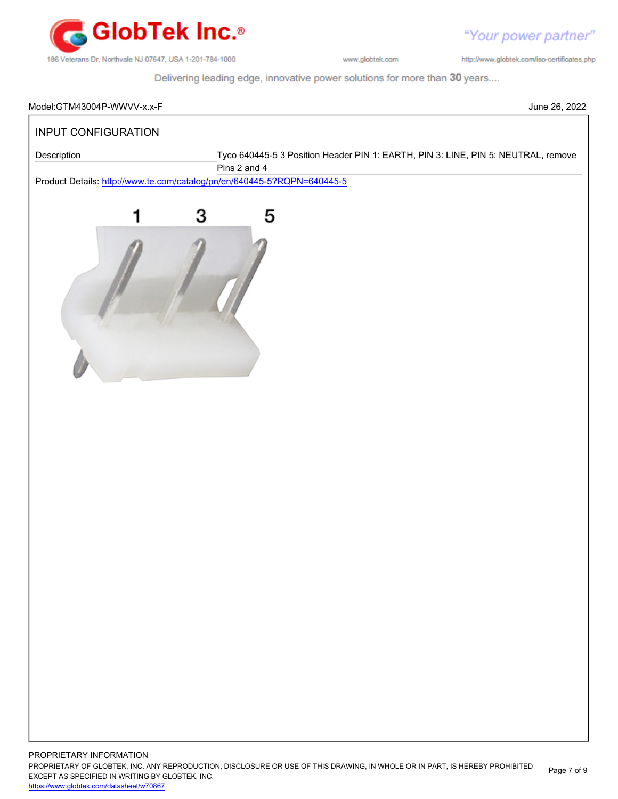

"Your power partner" http://www.globtek.com/iso-certificates.php

Delivering leading edge, innovative power solutions for more than 30 years....

| Model:GTM43004P-WWVV-x.x-F | June 26, 2022                                                                                     |
|----------------------------|---------------------------------------------------------------------------------------------------|
| INPUT CONFIGURATION        |                                                                                                   |
| Description                | Tyco 640445-5 3 Position Header PIN 1: EARTH, PIN 3: LINE, PIN 5: NEUTRAL, remove<br>Pins 2 and 4 |
|                            | Product Details: http://www.te.com/catalog/pn/en/640445-5?RQPN=640445-5                           |
|                            | 5<br>3                                                                                            |
|                            |                                                                                                   |
|                            |                                                                                                   |
|                            |                                                                                                   |
|                            |                                                                                                   |
|                            |                                                                                                   |
|                            |                                                                                                   |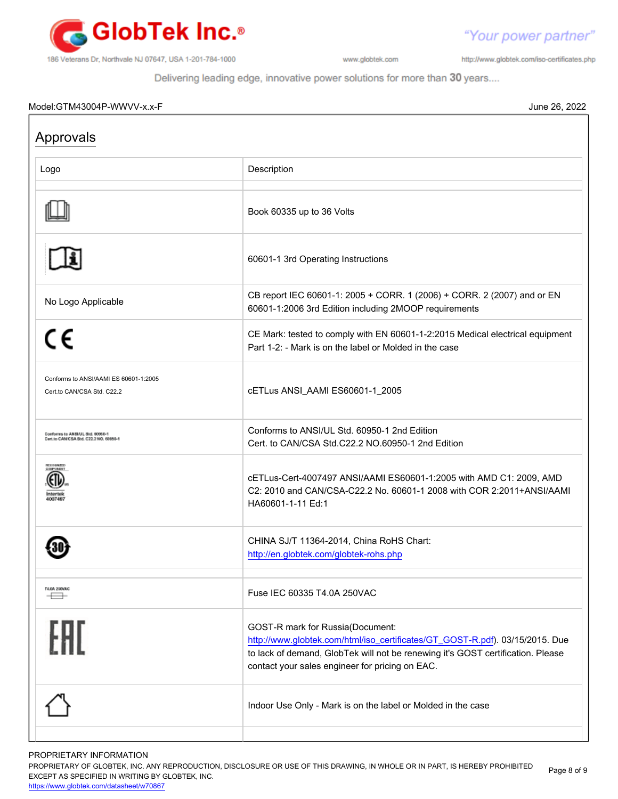

http://www.globtek.com/iso-certificates.php

"Your power partner"

Delivering leading edge, innovative power solutions for more than 30 years....

### Model:GTM43004P-WWVV-x.x-F June 26, 2022

| Approvals                                                                  |                                                                                                                                                                                                                                                        |  |  |
|----------------------------------------------------------------------------|--------------------------------------------------------------------------------------------------------------------------------------------------------------------------------------------------------------------------------------------------------|--|--|
| Logo                                                                       | Description<br>Book 60335 up to 36 Volts                                                                                                                                                                                                               |  |  |
|                                                                            |                                                                                                                                                                                                                                                        |  |  |
|                                                                            | 60601-1 3rd Operating Instructions                                                                                                                                                                                                                     |  |  |
| No Logo Applicable                                                         | CB report IEC 60601-1: 2005 + CORR. 1 (2006) + CORR. 2 (2007) and or EN<br>60601-1:2006 3rd Edition including 2MOOP requirements                                                                                                                       |  |  |
| CE                                                                         | CE Mark: tested to comply with EN 60601-1-2:2015 Medical electrical equipment<br>Part 1-2: - Mark is on the label or Molded in the case                                                                                                                |  |  |
| Conforms to ANSI/AAMI ES 60601-1:2005<br>Cert.to CAN/CSA Std. C22.2        | cETLus ANSI_AAMI ES60601-1_2005                                                                                                                                                                                                                        |  |  |
| Conforms to ANSI/UL 3td. 60950-1<br>Cert.to CAN/CSA Std. C22.2 NO. 66666-1 | Conforms to ANSI/UL Std. 60950-1 2nd Edition<br>Cert. to CAN/CSA Std.C22.2 NO.60950-1 2nd Edition                                                                                                                                                      |  |  |
| mbertel<br>400749                                                          | cETLus-Cert-4007497 ANSI/AAMI ES60601-1:2005 with AMD C1: 2009, AMD<br>C2: 2010 and CAN/CSA-C22.2 No. 60601-1 2008 with COR 2:2011+ANSI/AAMI<br>HA60601-1-11 Ed:1                                                                                      |  |  |
|                                                                            | CHINA SJ/T 11364-2014, China RoHS Chart:<br>http://en.globtek.com/globtek-rohs.php                                                                                                                                                                     |  |  |
| T4.0A 250VAC<br>$\overline{\phantom{0}}$                                   | Fuse IEC 60335 T4.0A 250VAC                                                                                                                                                                                                                            |  |  |
| FAT                                                                        | GOST-R mark for Russia(Document:<br>http://www.globtek.com/html/iso_certificates/GT_GOST-R.pdf). 03/15/2015. Due<br>to lack of demand, GlobTek will not be renewing it's GOST certification. Please<br>contact your sales engineer for pricing on EAC. |  |  |
|                                                                            | Indoor Use Only - Mark is on the label or Molded in the case                                                                                                                                                                                           |  |  |
|                                                                            |                                                                                                                                                                                                                                                        |  |  |

PROPRIETARY INFORMATION

PROPRIETARY OF GLOBTEK, INC. ANY REPRODUCTION, DISCLOSURE OR USE OF THIS DRAWING, IN WHOLE OR IN PART, IS HEREBY PROHIBITED EXCEPT AS SPECIFIED IN WRITING BY GLOBTEK, INC. Page 8 of 9